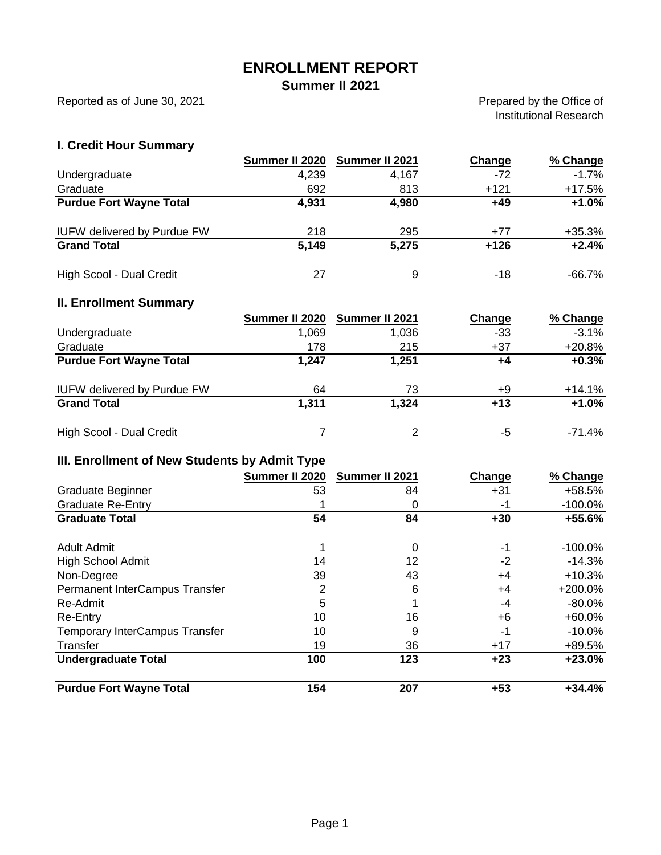# **ENROLLMENT REPORT**

**Summer II 2021**

Reported as of June 30, 2021

Prepared by the Office of Institutional Research

### **I. Credit Hour Summary**

|                                    | Summer II 2020 | Summer II 2021 | Change | % Change  |
|------------------------------------|----------------|----------------|--------|-----------|
| Undergraduate                      | 4,239          | 4,167          | $-72$  | $-1.7%$   |
| Graduate                           | 692            | 813            | $+121$ | $+17.5%$  |
| <b>Purdue Fort Wayne Total</b>     | 4,931          | 4,980          | +49    | $+1.0%$   |
| <b>IUFW delivered by Purdue FW</b> | 218            | 295            | $+77$  | $+35.3%$  |
| <b>Grand Total</b>                 | 5,149          | 5,275          | $+126$ | $+2.4%$   |
| High Scool - Dual Credit           | 27             | 9              | -18    | $-66.7\%$ |

### **II. Enrollment Summary**

|                                    | Summer II 2020 | Summer II 2021 | Change | % Change  |
|------------------------------------|----------------|----------------|--------|-----------|
| Undergraduate                      | 1.069          | 1.036          | -33    | $-3.1%$   |
| Graduate                           | 178            | 215            | $+37$  | $+20.8%$  |
| <b>Purdue Fort Wayne Total</b>     | 1,247          | 1,251          | +4     | $+0.3%$   |
| <b>IUFW delivered by Purdue FW</b> | 64             | 73             | +9     | $+14.1%$  |
| <b>Grand Total</b>                 | 1,311          | 1,324          | $+13$  | $+1.0%$   |
| High Scool - Dual Credit           |                | $\mathcal{P}$  | -5     | $-71.4\%$ |

## **III. Enrollment of New Students by Admit Type**

|                                       | Summer II 2020 | Summer II 2021 | Change | % Change   |
|---------------------------------------|----------------|----------------|--------|------------|
| Graduate Beginner                     | 53             | 84             | $+31$  | +58.5%     |
| <b>Graduate Re-Entry</b>              |                |                | -1     | $-100.0\%$ |
| <b>Graduate Total</b>                 | 54             | 84             | $+30$  | $+55.6%$   |
| <b>Adult Admit</b>                    |                | 0              | -1     | $-100.0\%$ |
| <b>High School Admit</b>              | 14             | 12             | $-2$   | $-14.3%$   |
| Non-Degree                            | 39             | 43             | +4     | $+10.3%$   |
| Permanent InterCampus Transfer        | $\overline{2}$ | 6              | $+4$   | $+200.0%$  |
| Re-Admit                              | 5              |                | -4     | $-80.0\%$  |
| Re-Entry                              | 10             | 16             | +6     | $+60.0%$   |
| <b>Temporary InterCampus Transfer</b> | 10             | 9              | -1     | -10.0%     |
| Transfer                              | 19             | 36             | $+17$  | +89.5%     |
| <b>Undergraduate Total</b>            | 100            | 123            | $+23$  | $+23.0%$   |
| <b>Purdue Fort Wayne Total</b>        | 154            | 207            | $+53$  | $+34.4%$   |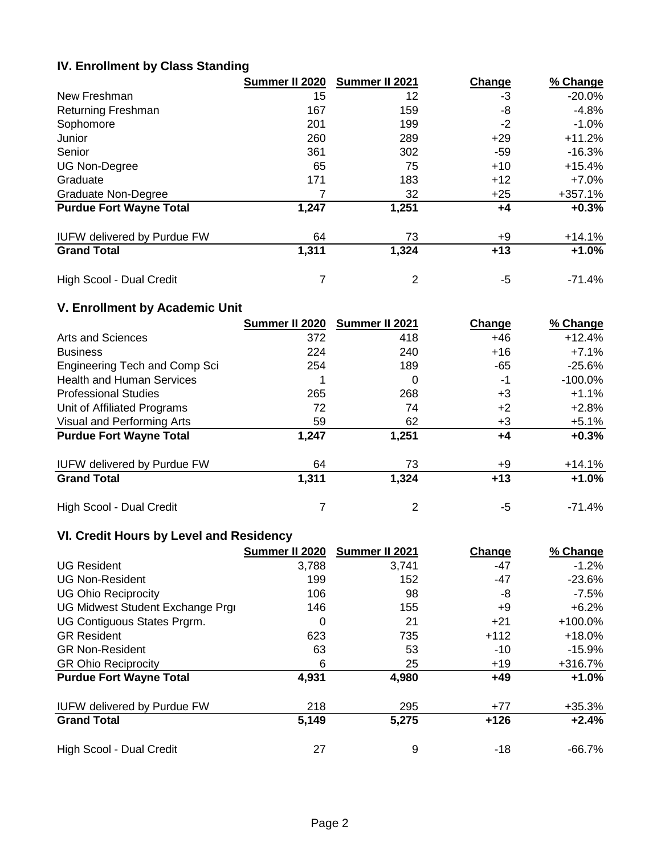## **IV. Enrollment by Class Standing**

|                                    | Summer II 2020 | Summer II 2021 | Change | % Change  |
|------------------------------------|----------------|----------------|--------|-----------|
| New Freshman                       | 15             | 12             | -3     | $-20.0\%$ |
| <b>Returning Freshman</b>          | 167            | 159            | -8     | $-4.8%$   |
| Sophomore                          | 201            | 199            | $-2$   | $-1.0\%$  |
| Junior                             | 260            | 289            | $+29$  | $+11.2%$  |
| Senior                             | 361            | 302            | -59    | $-16.3\%$ |
| <b>UG Non-Degree</b>               | 65             | 75             | $+10$  | $+15.4%$  |
| Graduate                           | 171            | 183            | $+12$  | $+7.0\%$  |
| Graduate Non-Degree                |                | 32             | $+25$  | $+357.1%$ |
| <b>Purdue Fort Wayne Total</b>     | 1,247          | 1,251          | +4     | $+0.3%$   |
| <b>IUFW delivered by Purdue FW</b> | 64             | 73             | +9     | $+14.1%$  |
| <b>Grand Total</b>                 | 1,311          | 1,324          | $+13$  | $+1.0%$   |
| High Scool - Dual Credit           |                | 2              | -5     | $-71.4\%$ |

## **V. Enrollment by Academic Unit**

|                                      | Summer II 2020 | Summer II 2021 | Change | % Change   |
|--------------------------------------|----------------|----------------|--------|------------|
| Arts and Sciences                    | 372            | 418            | +46    | $+12.4%$   |
| <b>Business</b>                      | 224            | 240            | $+16$  | $+7.1%$    |
| <b>Engineering Tech and Comp Sci</b> | 254            | 189            | -65    | $-25.6\%$  |
| <b>Health and Human Services</b>     |                | 0              | -1     | $-100.0\%$ |
| <b>Professional Studies</b>          | 265            | 268            | $+3$   | $+1.1%$    |
| Unit of Affiliated Programs          | 72             | 74             | $+2$   | $+2.8%$    |
| Visual and Performing Arts           | 59             | 62             | $+3$   | $+5.1%$    |
| <b>Purdue Fort Wayne Total</b>       | 1,247          | 1,251          | +4     | $+0.3%$    |
| <b>IUFW delivered by Purdue FW</b>   | 64             | 73             | +9     | $+14.1%$   |
| <b>Grand Total</b>                   | 1,311          | 1,324          | $+13$  | $+1.0%$    |
| High Scool - Dual Credit             |                |                | -5     | $-71.4%$   |

# **VI. Credit Hours by Level and Residency**

|                                    | Summer II 2020 | Summer II 2021 | Change | % Change  |
|------------------------------------|----------------|----------------|--------|-----------|
| <b>UG Resident</b>                 | 3,788          | 3,741          | -47    | $-1.2%$   |
| <b>UG Non-Resident</b>             | 199            | 152            | -47    | $-23.6\%$ |
| <b>UG Ohio Reciprocity</b>         | 106            | 98             | -8     | $-7.5%$   |
| UG Midwest Student Exchange Prgi   | 146            | 155            | +9     | $+6.2%$   |
| UG Contiguous States Prgrm.        | 0              | 21             | $+21$  | $+100.0%$ |
| <b>GR Resident</b>                 | 623            | 735            | $+112$ | $+18.0\%$ |
| <b>GR Non-Resident</b>             | 63             | 53             | $-10$  | $-15.9\%$ |
| <b>GR Ohio Reciprocity</b>         | 6              | 25             | $+19$  | $+316.7%$ |
| <b>Purdue Fort Wayne Total</b>     | 4,931          | 4,980          | $+49$  | $+1.0%$   |
| <b>IUFW delivered by Purdue FW</b> | 218            | 295            | $+77$  | $+35.3%$  |
| <b>Grand Total</b>                 | 5,149          | 5,275          | $+126$ | $+2.4%$   |
| High Scool - Dual Credit           | 27             | 9              | -18    | $-66.7\%$ |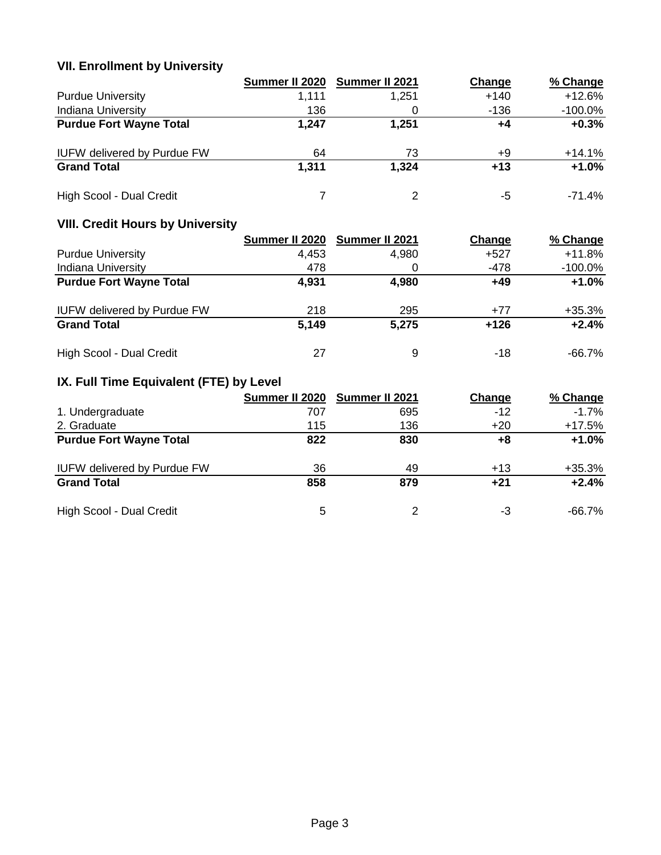# **VII. Enrollment by University**

|                                    | Summer II 2020 | Summer II 2021 | Change | % Change   |
|------------------------------------|----------------|----------------|--------|------------|
| <b>Purdue University</b>           | 1,111          | 1.251          | $+140$ | $+12.6%$   |
| <b>Indiana University</b>          | 136            |                | -136   | $-100.0\%$ |
| <b>Purdue Fort Wayne Total</b>     | 1.247          | 1,251          | +4     | $+0.3%$    |
| <b>IUFW delivered by Purdue FW</b> | 64             | 73             | +9     | $+14.1%$   |
| <b>Grand Total</b>                 | 1.311          | 1,324          | $+13$  | $+1.0%$    |
| High Scool - Dual Credit           |                |                | -5     | -71.4%     |

# **VIII. Credit Hours by University**

|                                    | Summer II 2020 | Summer II 2021 | Change | % Change   |
|------------------------------------|----------------|----------------|--------|------------|
| <b>Purdue University</b>           | 4.453          | 4.980          | +527   | $+11.8%$   |
| <b>Indiana University</b>          | 478            |                | -478   | $-100.0\%$ |
| <b>Purdue Fort Wayne Total</b>     | 4,931          | 4,980          | $+49$  | $+1.0%$    |
| <b>IUFW delivered by Purdue FW</b> | 218            | 295            | $+77$  | $+35.3%$   |
| <b>Grand Total</b>                 | 5.149          | 5,275          | $+126$ | $+2.4%$    |
| High Scool - Dual Credit           | 27             | 9              | -18    | -66.7%     |

# **IX. Full Time Equivalent (FTE) by Level**

|                                    | Summer II 2020 | <b>Summer II 2021</b> | Change | % Change |
|------------------------------------|----------------|-----------------------|--------|----------|
| 1. Undergraduate                   | 707            | 695                   | $-12$  | $-1.7\%$ |
| 2. Graduate                        | 115            | 136                   | $+20$  | $+17.5%$ |
| <b>Purdue Fort Wayne Total</b>     | 822            | 830                   | +8     | $+1.0%$  |
| <b>IUFW delivered by Purdue FW</b> | 36             | 49                    | $+13$  | $+35.3%$ |
| <b>Grand Total</b>                 | 858            | 879                   | $+21$  | $+2.4%$  |
| High Scool - Dual Credit           | 5              | 2                     | -3     | -66.7%   |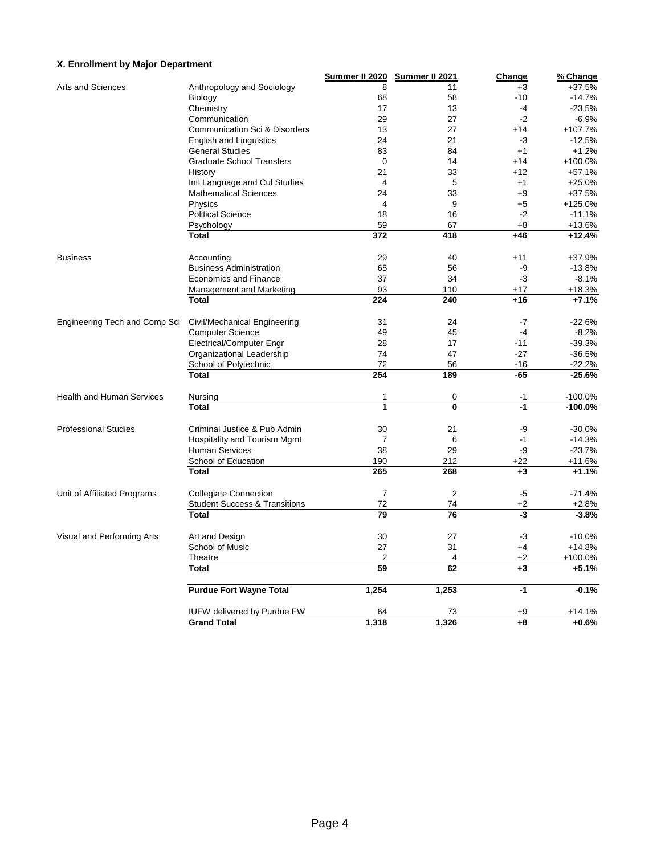### **X. Enrollment by Major Department**

|                                  |                                          | Summer II 2020           | Summer II 2021 | <b>Change</b> | % Change  |
|----------------------------------|------------------------------------------|--------------------------|----------------|---------------|-----------|
| Arts and Sciences                | Anthropology and Sociology               | 8                        | 11             | $+3$          | $+37.5%$  |
|                                  | Biology                                  | 68                       | 58             | $-10$         | $-14.7%$  |
|                                  | Chemistry                                | 17                       | 13             | -4            | $-23.5%$  |
|                                  | Communication                            | 29                       | 27             | $-2$          | $-6.9%$   |
|                                  | <b>Communication Sci &amp; Disorders</b> | 13                       | 27             | $+14$         | $+107.7%$ |
|                                  | <b>English and Linguistics</b>           | 24                       | 21             | -3            | $-12.5%$  |
|                                  | <b>General Studies</b>                   | 83                       | 84             | $+1$          | $+1.2%$   |
|                                  | <b>Graduate School Transfers</b>         | $\mathbf 0$              | 14             | $+14$         | $+100.0%$ |
|                                  | History                                  | 21                       | 33             | $+12$         | $+57.1%$  |
|                                  | Intl Language and Cul Studies            | $\overline{4}$           | 5              | $+1$          | $+25.0%$  |
|                                  | <b>Mathematical Sciences</b>             | 24                       | 33             | $+9$          | $+37.5%$  |
|                                  | Physics                                  | $\overline{4}$           | 9              | $+5$          | $+125.0%$ |
|                                  | <b>Political Science</b>                 | 18                       | 16             | $-2$          | $-11.1%$  |
|                                  | Psychology                               | 59                       | 67             | $+8$          | $+13.6%$  |
|                                  | <b>Total</b>                             | 372                      | 418            | $+46$         | $+12.4%$  |
|                                  |                                          |                          |                |               |           |
| <b>Business</b>                  | Accounting                               | 29                       | 40             | $+11$         | +37.9%    |
|                                  | <b>Business Administration</b>           | 65                       | 56             | -9            | $-13.8%$  |
|                                  | <b>Economics and Finance</b>             | 37                       | 34             | -3            | $-8.1%$   |
|                                  | <b>Management and Marketing</b>          | 93                       | 110            | $+17$         | +18.3%    |
|                                  | <b>Total</b>                             | 224                      | 240            | $+16$         | $+7.1%$   |
|                                  |                                          |                          |                |               |           |
| Engineering Tech and Comp Sci    | Civil/Mechanical Engineering             | 31                       | 24             | $-7$          | $-22.6%$  |
|                                  | <b>Computer Science</b>                  | 49                       | 45             | $-4$          | $-8.2%$   |
|                                  | <b>Electrical/Computer Engr</b>          | 28                       | 17             | $-11$         | $-39.3%$  |
|                                  | Organizational Leadership                | 74                       | 47             | $-27$         | $-36.5%$  |
|                                  | School of Polytechnic                    | 72                       | 56             | $-16$         | $-22.2%$  |
|                                  | Total                                    | 254                      | 189            | $-65$         | $-25.6%$  |
|                                  |                                          |                          |                |               |           |
| <b>Health and Human Services</b> | Nursing                                  | 1<br>$\ddot{\mathbf{1}}$ | 0              | -1            | $-100.0%$ |
|                                  | <b>Total</b>                             |                          | 0              | $-1$          | $-100.0%$ |
| <b>Professional Studies</b>      | Criminal Justice & Pub Admin             | 30                       | 21             | -9            | $-30.0%$  |
|                                  | Hospitality and Tourism Mgmt             | $\overline{7}$           | 6              | $-1$          | $-14.3%$  |
|                                  | <b>Human Services</b>                    | 38                       | 29             | -9            | $-23.7%$  |
|                                  | School of Education                      | 190                      | 212            | $+22$         | $+11.6%$  |
|                                  | <b>Total</b>                             | 265                      | 268            | $+3$          | $+1.1%$   |
|                                  |                                          |                          |                |               |           |
| Unit of Affiliated Programs      | <b>Collegiate Connection</b>             | $\overline{7}$           | $\overline{2}$ | $-5$          | $-71.4%$  |
|                                  | <b>Student Success &amp; Transitions</b> | 72                       | 74             | $+2$          | $+2.8%$   |
|                                  | <b>Total</b>                             | 79                       | 76             | -3            | $-3.8%$   |
| Visual and Performing Arts       | Art and Design                           | 30                       | 27             | -3            | $-10.0%$  |
|                                  | School of Music                          | 27                       | 31             | $+4$          | $+14.8%$  |
|                                  | Theatre                                  | $\overline{2}$           | 4              | $+2$          | +100.0%   |
|                                  | <b>Total</b>                             | 59                       | 62             | $+3$          | $+5.1%$   |
|                                  |                                          |                          |                |               |           |
|                                  | <b>Purdue Fort Wayne Total</b>           | 1,254                    | 1,253          | $-1$          | $-0.1%$   |
|                                  | <b>IUFW delivered by Purdue FW</b>       | 64                       | 73             | +9            | $+14.1%$  |
|                                  | <b>Grand Total</b>                       | 1,318                    | 1,326          | $+8$          | $+0.6%$   |